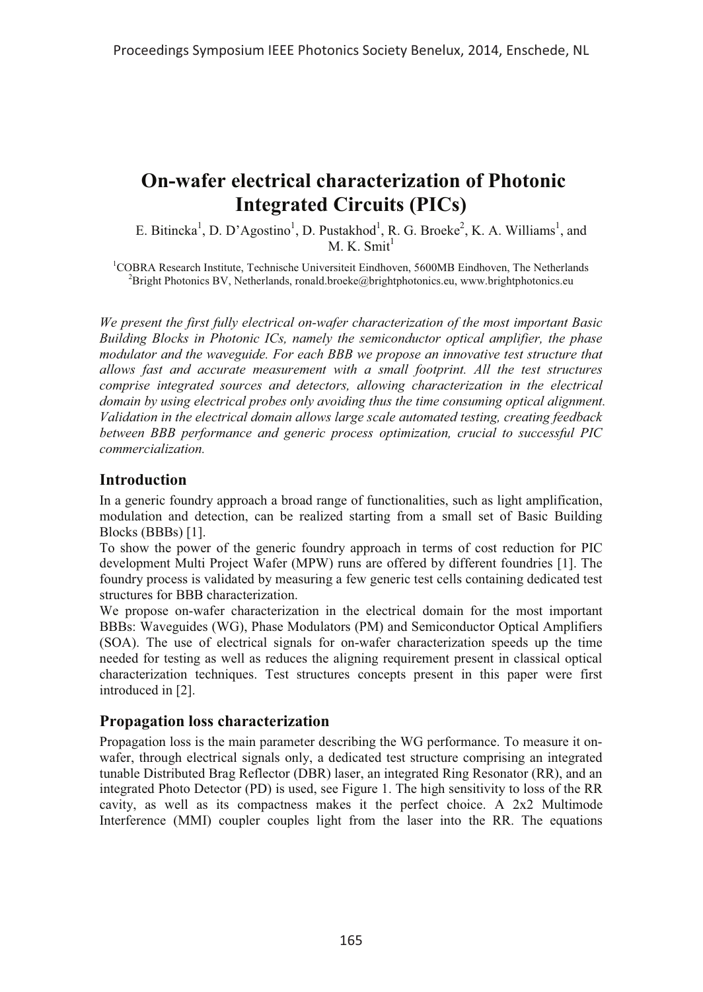# **On-wafer electrical characterization of Photonic Integrated Circuits (PICs)**

E. Bitincka<sup>1</sup>, D. D'Agostino<sup>1</sup>, D. Pustakhod<sup>1</sup>, R. G. Broeke<sup>2</sup>, K. A. Williams<sup>1</sup>, and  $M$  K. Smit<sup>1</sup>

<sup>1</sup>COBRA Research Institute, Technische Universiteit Eindhoven, 5600MB Eindhoven, The Netherlands  ${}^{2}$ Bright Photonics BV, Netherlands, ronald.broeke@brightphotonics.eu, www.brightphotonics.eu

*We present the first fully electrical on-wafer characterization of the most important Basic Building Blocks in Photonic ICs, namely the semiconductor optical amplifier, the phase modulator and the waveguide. For each BBB we propose an innovative test structure that allows fast and accurate measurement with a small footprint. All the test structures comprise integrated sources and detectors, allowing characterization in the electrical domain by using electrical probes only avoiding thus the time consuming optical alignment. Validation in the electrical domain allows large scale automated testing, creating feedback between BBB performance and generic process optimization, crucial to successful PIC commercialization.*

## **Introduction**

In a generic foundry approach a broad range of functionalities, such as light amplification, modulation and detection, can be realized starting from a small set of Basic Building Blocks (BBBs) [1].

To show the power of the generic foundry approach in terms of cost reduction for PIC development Multi Project Wafer (MPW) runs are offered by different foundries [1]. The foundry process is validated by measuring a few generic test cells containing dedicated test structures for BBB characterization.

We propose on-wafer characterization in the electrical domain for the most important BBBs: Waveguides (WG), Phase Modulators (PM) and Semiconductor Optical Amplifiers (SOA). The use of electrical signals for on-wafer characterization speeds up the time needed for testing as well as reduces the aligning requirement present in classical optical characterization techniques. Test structures concepts present in this paper were first introduced in [2].

# **Propagation loss characterization**

Propagation loss is the main parameter describing the WG performance. To measure it onwafer, through electrical signals only, a dedicated test structure comprising an integrated tunable Distributed Brag Reflector (DBR) laser, an integrated Ring Resonator (RR), and an integrated Photo Detector (PD) is used, see Figure 1. The high sensitivity to loss of the RR cavity, as well as its compactness makes it the perfect choice. A 2x2 Multimode Interference (MMI) coupler couples light from the laser into the RR. The equations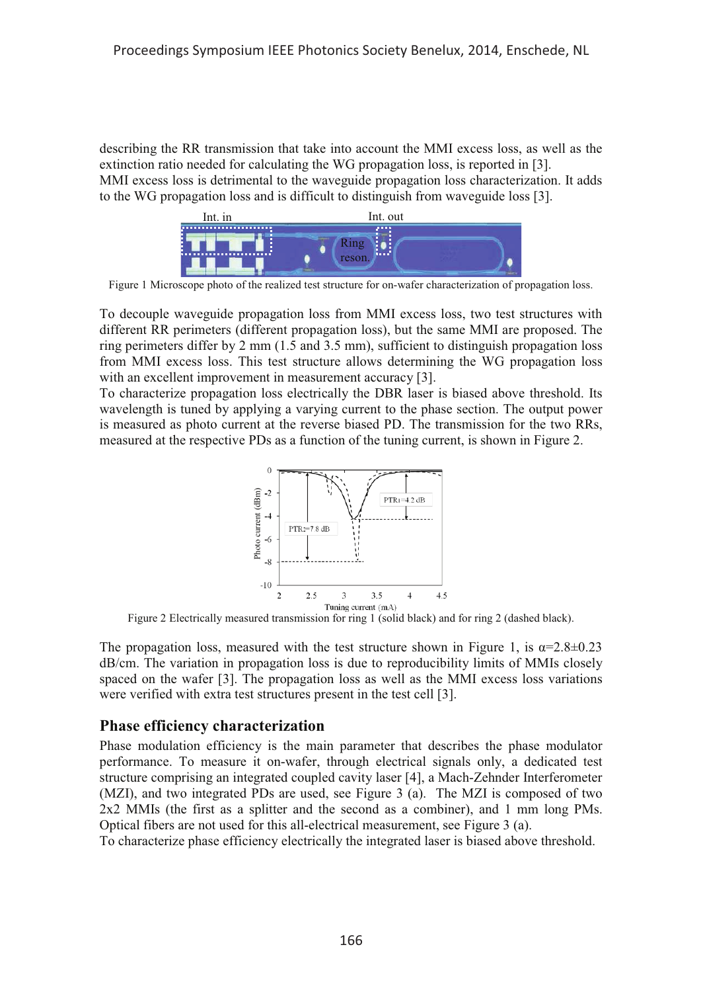describing the RR transmission that take into account the MMI excess loss, as well as the extinction ratio needed for calculating the WG propagation loss, is reported in [3]. MMI excess loss is detrimental to the waveguide propagation loss characterization. It adds to the WG propagation loss and is difficult to distinguish from waveguide loss [3].



Figure 1 Microscope photo of the realized test structure for on-wafer characterization of propagation loss.

To decouple waveguide propagation loss from MMI excess loss, two test structures with different RR perimeters (different propagation loss), but the same MMI are proposed. The ring perimeters differ by 2 mm (1.5 and 3.5 mm), sufficient to distinguish propagation loss from MMI excess loss. This test structure allows determining the WG propagation loss with an excellent improvement in measurement accuracy [3].

To characterize propagation loss electrically the DBR laser is biased above threshold. Its wavelength is tuned by applying a varying current to the phase section. The output power is measured as photo current at the reverse biased PD. The transmission for the two RRs, measured at the respective PDs as a function of the tuning current, is shown in Figure 2.



Figure 2 Electrically measured transmission for ring 1 (solid black) and for ring 2 (dashed black).

The propagation loss, measured with the test structure shown in Figure 1, is  $\alpha = 2.8 \pm 0.23$ dB/cm. The variation in propagation loss is due to reproducibility limits of MMIs closely spaced on the wafer [3]. The propagation loss as well as the MMI excess loss variations were verified with extra test structures present in the test cell [3].

# **Phase efficiency characterization**

Phase modulation efficiency is the main parameter that describes the phase modulator performance. To measure it on-wafer, through electrical signals only, a dedicated test structure comprising an integrated coupled cavity laser [4], a Mach-Zehnder Interferometer (MZI), and two integrated PDs are used, see Figure 3 (a). The MZI is composed of two 2x2 MMIs (the first as a splitter and the second as a combiner), and 1 mm long PMs. Optical fibers are not used for this all-electrical measurement, see Figure 3 (a).

To characterize phase efficiency electrically the integrated laser is biased above threshold.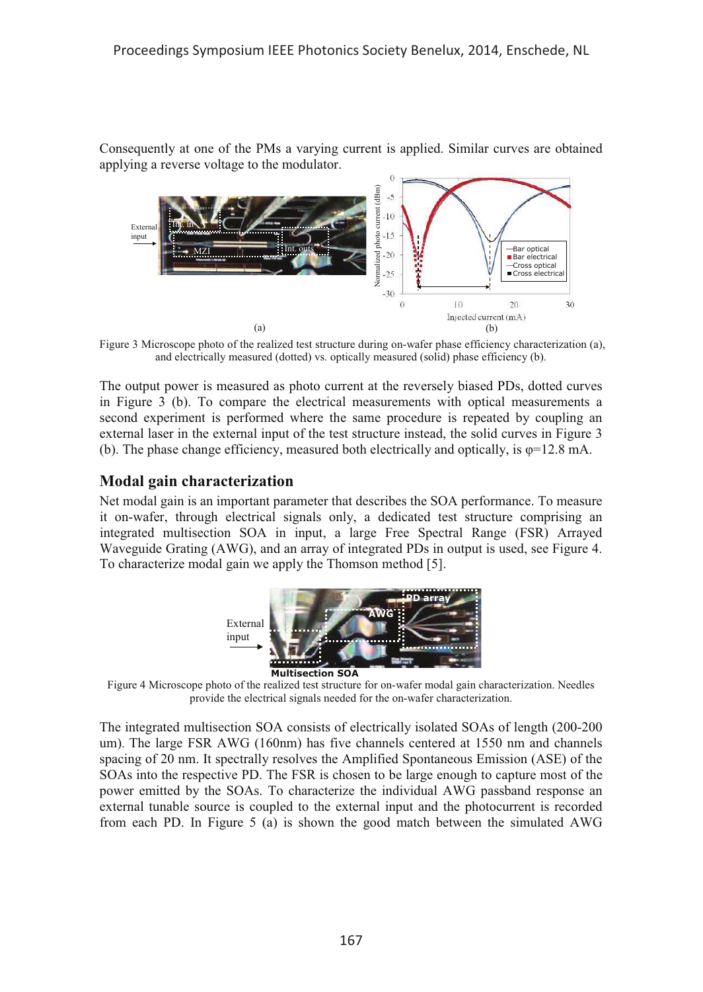Consequently at one of the PMs a varying current is applied. Similar curves are obtained applying a reverse voltage to the modulator.



Figure 3 Microscope photo of the realized test structure during on-wafer phase efficiency characterization (a), and electrically measured (dotted) vs. optically measured (solid) phase efficiency (b).

The output power is measured as photo current at the reversely biased PDs, dotted curves in Figure 3 (b). To compare the electrical measurements with optical measurements a second experiment is performed where the same procedure is repeated by coupling an external laser in the external input of the test structure instead, the solid curves in Figure 3 (b). The phase change efficiency, measured both electrically and optically, is  $\varphi$ =12.8 mA.

## **Modal gain characterization**

Net modal gain is an important parameter that describes the SOA performance. To measure it on-wafer, through electrical signals only, a dedicated test structure comprising an integrated multisection SOA in input, a large Free Spectral Range (FSR) Arrayed Waveguide Grating (AWG), and an array of integrated PDs in output is used, see Figure 4. To characterize modal gain we apply the Thomson method [5].



Figure 4 Microscope photo of the realized test structure for on-wafer modal gain characterization. Needles provide the electrical signals needed for the on-wafer characterization.

The integrated multisection SOA consists of electrically isolated SOAs of length (200-200 um). The large FSR AWG (160nm) has five channels centered at 1550 nm and channels spacing of 20 nm. It spectrally resolves the Amplified Spontaneous Emission (ASE) of the SOAs into the respective PD. The FSR is chosen to be large enough to capture most of the power emitted by the SOAs. To characterize the individual AWG passband response an external tunable source is coupled to the external input and the photocurrent is recorded from each PD. In Figure 5 (a) is shown the good match between the simulated AWG